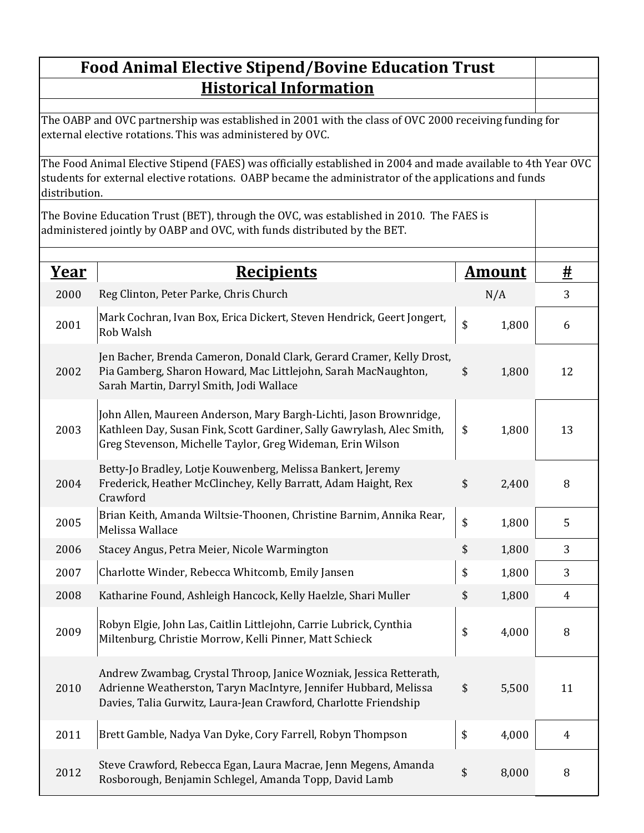## $\begin{array}{ccc} \textbf{Year} & \textbf{Recipients} \end{array}$ 2000 N/A 3 Reg Clinton, Peter Parke, Chris Church 2001 Mark Cochran, Ivan Box, Erica Dickert, Steven Hendrick, Geert Jongert,  $\begin{array}{c|c} 1 & 3 & 1,800 \end{array}$  6 2002 Pia Gamberg, Sharon Howard, Mac Littlejohn, Sarah MacNaughton, \$1,800 12 2003 |Kathleen Day, Susan Fink, Scott Gardiner, Sally Gawrylash, Alec Smith, | \$ 1,800 | 13 2004 \$ 2,400 8 Frederick, Heather McClinchey, Kelly Barratt, Adam Haight, Rex 2005 | Brian Keith, Amanda Wiltsie-Thoonen, Christine Barnim, Annika Rear, | \$1,800 | 5 2006 \$ 1,800 3 Stacey Angus, Petra Meier, Nicole Warmington 2007 \$ 1,800 3 Charlotte Winder, Rebecca Whitcomb, Emily Jansen 2008 Katharine Found, Ashleigh Hancock, Kelly Haelzle, Shari Muller  $$31,800$  4 2009 Miltenburg, Christie Morrow, Kelli Pinner, Matt Schieck  $\begin{vmatrix} 1 & 4,000 \\ 8 & 4,000 \end{vmatrix}$  8 2010 Adrienne Weatherston, Taryn MacIntyre, Jennifer Hubbard, Melissa  $$5,500$  11 2011 \$ 4,000 4 Brett Gamble, Nadya Van Dyke, Cory Farrell, Robyn Thompson 2012 \$ 8,000 8 Rosborough, Benjamin Schlegel, Amanda Topp, David Lamb**Food Animal Elective Stipend/Bovine Education Trust Historical Information** Jen Bacher, Brenda Cameron, Donald Clark, Gerard Cramer, Kelly Drost, Sarah Martin, Darryl Smith, Jodi Wallace John Allen, Maureen Anderson, Mary Bargh-Lichti, Jason Brownridge, Greg Stevenson, Michelle Taylor, Greg Wideman, Erin Wilson Betty-Jo Bradley, Lotje Kouwenberg, Melissa Bankert, Jeremy Crawford Rob Walsh The OABP and OVC partnership was established in 2001 with the class of OVC 2000 receiving funding for external elective rotations. This was administered by OVC. The Food Animal Elective Stipend (FAES) was officially established in 2004 and made available to 4th Year OVC students for external elective rotations. OABP became the administrator of the applications and funds distribution. Robyn Elgie, John Las, Caitlin Littlejohn, Carrie Lubrick, Cynthia Andrew Zwambag, Crystal Throop, Janice Wozniak, Jessica Retterath, Davies, Talia Gurwitz, Laura-Jean Crawford, Charlotte Friendship The Bovine Education Trust (BET), through the OVC, was established in 2010. The FAES is administered jointly by OABP and OVC, with funds distributed by the BET. Melissa Wallace Steve Crawford, Rebecca Egan, Laura Macrae, Jenn Megens, Amanda